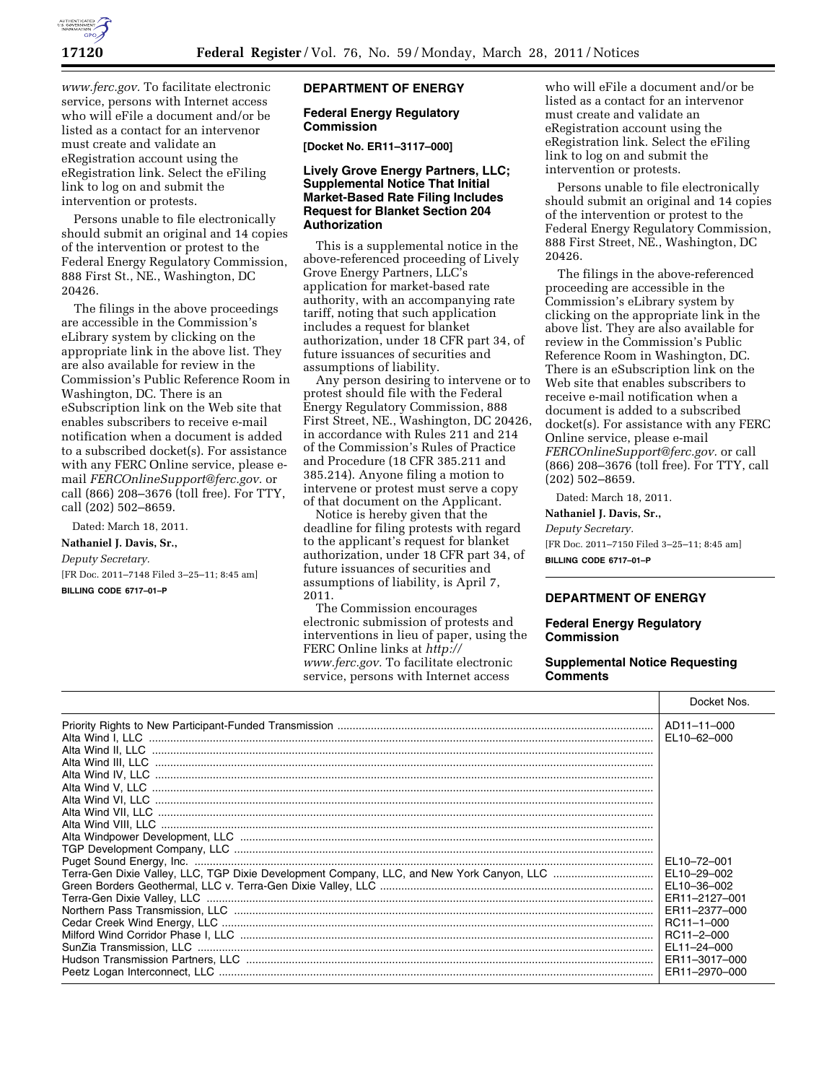

*[www.ferc.gov.](http://www.ferc.gov)* To facilitate electronic service, persons with Internet access who will eFile a document and/or be listed as a contact for an intervenor must create and validate an eRegistration account using the eRegistration link. Select the eFiling link to log on and submit the intervention or protests.

Persons unable to file electronically should submit an original and 14 copies of the intervention or protest to the Federal Energy Regulatory Commission, 888 First St., NE., Washington, DC 20426.

The filings in the above proceedings are accessible in the Commission's eLibrary system by clicking on the appropriate link in the above list. They are also available for review in the Commission's Public Reference Room in Washington, DC. There is an eSubscription link on the Web site that enables subscribers to receive e-mail notification when a document is added to a subscribed docket(s). For assistance with any FERC Online service, please email *[FERCOnlineSupport@ferc.gov.](mailto:FERCOnlineSupport@ferc.gov)* or call (866) 208–3676 (toll free). For TTY, call (202) 502–8659.

Dated: March 18, 2011.

# **Nathaniel J. Davis, Sr.,**

*Deputy Secretary.*  [FR Doc. 2011–7148 Filed 3–25–11; 8:45 am]

**BILLING CODE 6717–01–P** 

# **DEPARTMENT OF ENERGY**

# **Federal Energy Regulatory Commission**

**[Docket No. ER11–3117–000]** 

## **Lively Grove Energy Partners, LLC; Supplemental Notice That Initial Market-Based Rate Filing Includes Request for Blanket Section 204 Authorization**

This is a supplemental notice in the above-referenced proceeding of Lively Grove Energy Partners, LLC's application for market-based rate authority, with an accompanying rate tariff, noting that such application includes a request for blanket authorization, under 18 CFR part 34, of future issuances of securities and assumptions of liability.

Any person desiring to intervene or to protest should file with the Federal Energy Regulatory Commission, 888 First Street, NE., Washington, DC 20426, in accordance with Rules 211 and 214 of the Commission's Rules of Practice and Procedure (18 CFR 385.211 and 385.214). Anyone filing a motion to intervene or protest must serve a copy of that document on the Applicant.

Notice is hereby given that the deadline for filing protests with regard to the applicant's request for blanket authorization, under 18 CFR part 34, of future issuances of securities and assumptions of liability, is April 7, 2011.

The Commission encourages electronic submission of protests and interventions in lieu of paper, using the FERC Online links at *[http://](http://www.ferc.gov)  [www.ferc.gov.](http://www.ferc.gov)* To facilitate electronic service, persons with Internet access

who will eFile a document and/or be listed as a contact for an intervenor must create and validate an eRegistration account using the eRegistration link. Select the eFiling link to log on and submit the intervention or protests.

Persons unable to file electronically should submit an original and 14 copies of the intervention or protest to the Federal Energy Regulatory Commission, 888 First Street, NE., Washington, DC 20426.

The filings in the above-referenced proceeding are accessible in the Commission's eLibrary system by clicking on the appropriate link in the above list. They are also available for review in the Commission's Public Reference Room in Washington, DC. There is an eSubscription link on the Web site that enables subscribers to receive e-mail notification when a document is added to a subscribed docket(s). For assistance with any FERC Online service, please e-mail *[FERCOnlineSupport@ferc.gov.](mailto:FERCOnlineSupport@ferc.gov)* or call (866) 208–3676 (toll free). For TTY, call (202) 502–8659.

Dated: March 18, 2011.

# **Nathaniel J. Davis, Sr.,**

*Deputy Secretary.* 

[FR Doc. 2011–7150 Filed 3–25–11; 8:45 am] **BILLING CODE 6717–01–P** 

## **DEPARTMENT OF ENERGY**

#### **Federal Energy Regulatory Commission**

## **Supplemental Notice Requesting Comments**

|  | Docket Nos.                                                                              |
|--|------------------------------------------------------------------------------------------|
|  | AD11-11-000<br>EL10-62-000                                                               |
|  |                                                                                          |
|  |                                                                                          |
|  |                                                                                          |
|  | EL10-72-001<br>ER11-2127-001<br>ER11-2377-000<br>RC11-1-000<br>RC11-2-000<br>EL11-24-000 |
|  |                                                                                          |
|  |                                                                                          |
|  | ER11-3017-000<br>ER11-2970-000                                                           |